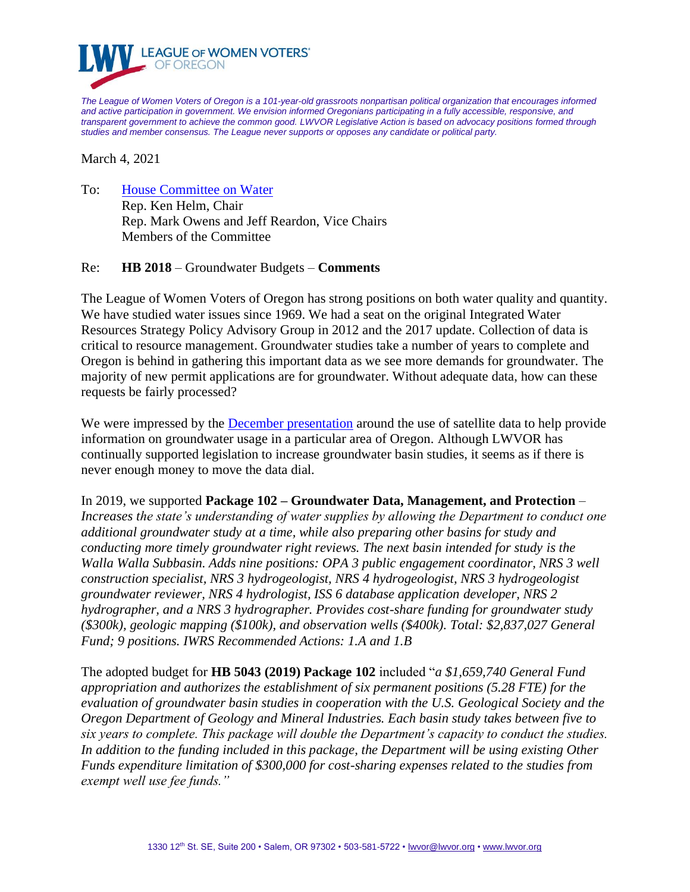

*The League of Women Voters of Oregon is a 101-year-old grassroots nonpartisan political organization that encourages informed and active participation in government. We envision informed Oregonians participating in a fully accessible, responsive, and transparent government to achieve the common good. LWVOR Legislative Action is based on advocacy positions formed through studies and member consensus. The League never supports or opposes any candidate or political party.*

March 4, 2021

To: [House Committee on Water](https://olis.oregonlegislature.gov/liz/2021R1/Committees/HWTR/Overview) Rep. Ken Helm, Chair Rep. Mark Owens and Jeff Reardon, Vice Chairs Members of the Committee

## Re: **HB 2018** – Groundwater Budgets – **Comments**

The League of Women Voters of Oregon has strong positions on both water quality and quantity. We have studied water issues since 1969. We had a seat on the original Integrated Water Resources Strategy Policy Advisory Group in 2012 and the 2017 update. Collection of data is critical to resource management. Groundwater studies take a number of years to complete and Oregon is behind in gathering this important data as we see more demands for groundwater. The majority of new permit applications are for groundwater. Without adequate data, how can these requests be fairly processed?

We were impressed by the [December presentation](https://olis.oregonlegislature.gov/liz/2019I1/Downloads/CommitteeMeetingDocument/227619) around the use of satellite data to help provide information on groundwater usage in a particular area of Oregon. Although LWVOR has continually supported legislation to increase groundwater basin studies, it seems as if there is never enough money to move the data dial.

In 2019, we supported **Package 102 – Groundwater Data, Management, and Protection** *– Increases the state's understanding of water supplies by allowing the Department to conduct one additional groundwater study at a time, while also preparing other basins for study and conducting more timely groundwater right reviews. The next basin intended for study is the Walla Walla Subbasin. Adds nine positions: OPA 3 public engagement coordinator, NRS 3 well construction specialist, NRS 3 hydrogeologist, NRS 4 hydrogeologist, NRS 3 hydrogeologist groundwater reviewer, NRS 4 hydrologist, ISS 6 database application developer, NRS 2 hydrographer, and a NRS 3 hydrographer. Provides cost-share funding for groundwater study (\$300k), geologic mapping (\$100k), and observation wells (\$400k). Total: \$2,837,027 General Fund; 9 positions. IWRS Recommended Actions: 1.A and 1.B*

The adopted budget for **HB 5043 (2019) Package 102** included "*a \$1,659,740 General Fund appropriation and authorizes the establishment of six permanent positions (5.28 FTE) for the evaluation of groundwater basin studies in cooperation with the U.S. Geological Society and the Oregon Department of Geology and Mineral Industries. Each basin study takes between five to six years to complete. This package will double the Department's capacity to conduct the studies. In addition to the funding included in this package, the Department will be using existing Other Funds expenditure limitation of \$300,000 for cost-sharing expenses related to the studies from exempt well use fee funds."*